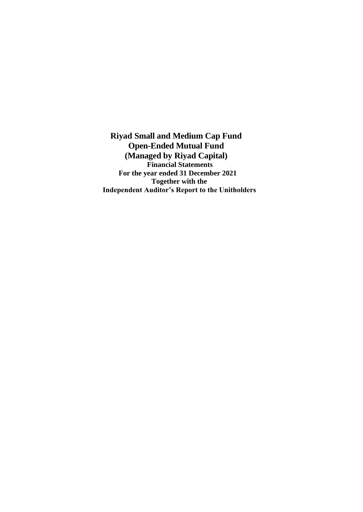**Riyad Small and Medium Cap Fund Open-Ended Mutual Fund (Managed by Riyad Capital) Financial Statements For the year ended 31 December 2021 Together with the Independent Auditor's Report to the Unitholders**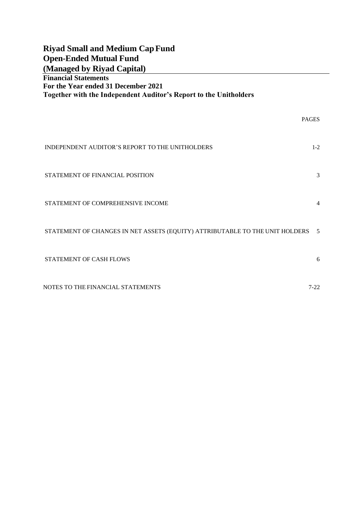| <b>Riyad Small and Medium Cap Fund</b><br><b>Open-Ended Mutual Fund</b><br>(Managed by Riyad Capital)                                   |              |
|-----------------------------------------------------------------------------------------------------------------------------------------|--------------|
| <b>Financial Statements</b><br>For the Year ended 31 December 2021<br>Together with the Independent Auditor's Report to the Unitholders |              |
|                                                                                                                                         | <b>PAGES</b> |
| INDEPENDENT AUDITOR'S REPORT TO THE UNITHOLDERS                                                                                         | $1 - 2$      |
| STATEMENT OF FINANCIAL POSITION                                                                                                         | 3            |
| STATEMENT OF COMPREHENSIVE INCOME                                                                                                       | 4            |
| STATEMENT OF CHANGES IN NET ASSETS (EQUITY) ATTRIBUTABLE TO THE UNIT HOLDERS                                                            | 5            |
| <b>STATEMENT OF CASH FLOWS</b>                                                                                                          | 6            |
| NOTES TO THE FINANCIAL STATEMENTS                                                                                                       | $7 - 22$     |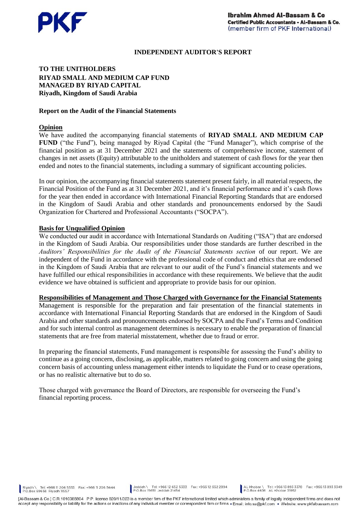

#### **INDEPENDENT AUDITOR'S REPORT**

## **TO THE UNITHOLDERS RIYAD SMALL AND MEDIUM CAP FUND MANAGED BY RIYAD CAPITAL Riyadh, Kingdom of Saudi Arabia**

#### **Report on the Audit of the Financial Statements**

#### **Opinion**

We have audited the accompanying financial statements of **RIYAD SMALL AND MEDIUM CAP FUND** ("the Fund"), being managed by Riyad Capital (the "Fund Manager"), which comprise of the financial position as at 31 December 2021 and the statements of comprehensive income, statement of changes in net assets (Equity) attributable to the unitholders and statement of cash flows for the year then ended and notes to the financial statements, including a summary of significant accounting policies.

In our opinion, the accompanying financial statements statement present fairly, in all material respects, the Financial Position of the Fund as at 31 December 2021, and it's financial performance and it's cash flows for the year then ended in accordance with International Financial Reporting Standards that are endorsed in the Kingdom of Saudi Arabia and other standards and pronouncements endorsed by the Saudi Organization for Chartered and Professional Accountants ("SOCPA").

#### **Basis for Unqualified Opinion**

We conducted our audit in accordance with International Standards on Auditing ("ISA") that are endorsed in the Kingdom of Saudi Arabia. Our responsibilities under those standards are further described in the *Auditors' Responsibilities for the Audit of the Financial Statements section* of our report. We are independent of the Fund in accordance with the professional code of conduct and ethics that are endorsed in the Kingdom of Saudi Arabia that are relevant to our audit of the Fund's financial statements and we have fulfilled our ethical responsibilities in accordance with these requirements. We believe that the audit evidence we have obtained is sufficient and appropriate to provide basis for our opinion.

#### **Responsibilities of Management and Those Charged with Governance for the Financial Statements**

Management is responsible for the preparation and fair presentation of the financial statements in accordance with International Financial Reporting Standards that are endorsed in the Kingdom of Saudi Arabia and other standards and pronouncements endorsed by SOCPA and the Fund's Terms and Condition and for such internal control as management determines is necessary to enable the preparation of financial statements that are free from material misstatement, whether due to fraud or error.

In preparing the financial statements, Fund management is responsible for assessing the Fund's ability to continue as a going concern, disclosing, as applicable, matters related to going concern and using the going concern basis of accounting unless management either intends to liquidate the Fund or to cease operations, or has no realistic alternative but to do so.

Those charged with governance the Board of Directors, are responsible for overseeing the Fund's financial reporting process.

Riyadh \ Tel: +966 11 206 5333 Fax: +966 11 206 5444<br>P.O.Box 69658 Riyadh 11557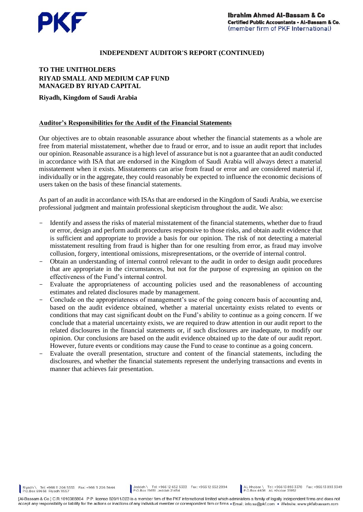

#### **INDEPENDENT AUDITOR'S REPORT (CONTINUED)**

## **TO THE UNITHOLDERS RIYAD SMALL AND MEDIUM CAP FUND MANAGED BY RIYAD CAPITAL**

#### **Riyadh, Kingdom of Saudi Arabia**

#### **Auditor's Responsibilities for the Audit of the Financial Statements**

Our objectives are to obtain reasonable assurance about whether the financial statements as a whole are free from material misstatement, whether due to fraud or error, and to issue an audit report that includes our opinion. Reasonable assurance is a high level of assurance but is not a guarantee that an audit conducted in accordance with ISA that are endorsed in the Kingdom of Saudi Arabia will always detect a material misstatement when it exists. Misstatements can arise from fraud or error and are considered material if, individually or in the aggregate, they could reasonably be expected to influence the economic decisions of users taken on the basis of these financial statements.

As part of an audit in accordance with ISAs that are endorsed in the Kingdom of Saudi Arabia, we exercise professional judgment and maintain professional skepticism throughout the audit. We also:

- Identify and assess the risks of material misstatement of the financial statements, whether due to fraud or error, design and perform audit procedures responsive to those risks, and obtain audit evidence that is sufficient and appropriate to provide a basis for our opinion. The risk of not detecting a material misstatement resulting from fraud is higher than for one resulting from error, as fraud may involve collusion, forgery, intentional omissions, misrepresentations, or the override of internal control.
- Obtain an understanding of internal control relevant to the audit in order to design audit procedures that are appropriate in the circumstances, but not for the purpose of expressing an opinion on the effectiveness of the Fund's internal control.
- Evaluate the appropriateness of accounting policies used and the reasonableness of accounting estimates and related disclosures made by management.
- Conclude on the appropriateness of management's use of the going concern basis of accounting and, based on the audit evidence obtained, whether a material uncertainty exists related to events or conditions that may cast significant doubt on the Fund's ability to continue as a going concern. If we conclude that a material uncertainty exists, we are required to draw attention in our audit report to the related disclosures in the financial statements or, if such disclosures are inadequate, to modify our opinion. Our conclusions are based on the audit evidence obtained up to the date of our audit report. However, future events or conditions may cause the Fund to cease to continue as a going concern.
- Evaluate the overall presentation, structure and content of the financial statements, including the disclosures, and whether the financial statements represent the underlying transactions and events in manner that achieves fair presentation.

Riyadh \ Tel: +966 11 206 5333 Fax: +966 11 206 5444<br>P.O.Box 69658 Riyadh 11557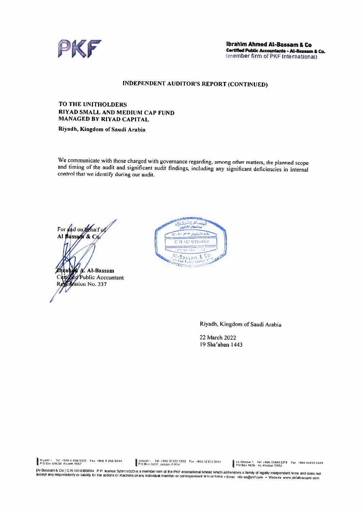

## **INDEPENDENT AUDITOR'S REPORT (CONTINUED)**

#### **TO THE UNITHOLDERS** RIYAD SMALL AND MEDIUM CAP FUND **MANAGED BY RIYAD CAPITAL**

Riyadh, Kingdom of Saudi Arabia

We communicate with those charged with governance regarding, among other matters, the planned scope and timing of the audit and significant audit findings, including any significant deficiencies in internal control that we identify during our audit.

For and on the half of Al Bassadi & Co. A. Al-Bassam **Public Accountant** ation No. 337



Riyadh, Kingdom of Saudi Arabia

22 March 2022 19 Sha'aban 1443

Riyadh \ fel +966 #206 5333 Fax +966 # 206 5444

Jeddah \ Tel +96612 652 5333 Fax +96612 652 2894<br>P.O.Box (565) Jeddah 21454

AL Khobar \ Tel. +966 13893 3378 Fax +966 13893 3349<br>PO Box 4636 AL Khobar 31952

extra formation of the Unit of the Marian of the PKF international limited which administers a family of legally independent firms and does not paid in the and does not all the PKF international limited which administers a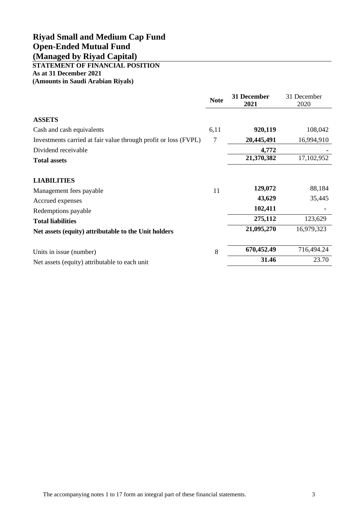# <span id="page-5-0"></span>**STATEMENT OF FINANCIAL POSITION As at 31 December 2021**

**(Amounts in Saudi Arabian Riyals)**

|                                                                 | <b>Note</b> | 31 December<br>2021 | 31 December<br>2020 |
|-----------------------------------------------------------------|-------------|---------------------|---------------------|
| <b>ASSETS</b>                                                   |             |                     |                     |
| Cash and cash equivalents                                       | 6,11        | 920,119             | 108,042             |
| Investments carried at fair value through profit or loss (FVPL) | 7           | 20,445,491          | 16,994,910          |
| Dividend receivable                                             |             | 4,772               |                     |
| <b>Total assets</b>                                             |             | 21,370,382          | 17,102,952          |
| <b>LIABILITIES</b>                                              |             |                     |                     |
| Management fees payable                                         | 11          | 129,072             | 88,184              |
| Accrued expenses                                                |             | 43,629              | 35,445              |
| Redemptions payable                                             |             | 102,411             |                     |
| <b>Total liabilities</b>                                        |             | 275,112             | 123,629             |
| Net assets (equity) attributable to the Unit holders            |             | 21,095,270          | 16,979,323          |
| Units in issue (number)                                         | 8           | 670,452.49          | 716,494.24          |
| Net assets (equity) attributable to each unit                   |             | 31.46               | 23.70               |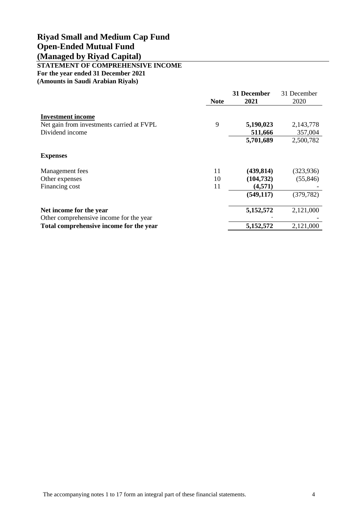# <span id="page-6-0"></span>**STATEMENT OF COMPREHENSIVE INCOME**

**For the year ended 31 December 2021**

**(Amounts in Saudi Arabian Riyals)**

|                                                                    | <b>Note</b> | 31 December<br>2021 | 31 December<br>2020 |
|--------------------------------------------------------------------|-------------|---------------------|---------------------|
| <b>Investment income</b>                                           |             |                     |                     |
| Net gain from investments carried at FVPL                          | 9           | 5,190,023           | 2,143,778           |
| Dividend income                                                    |             | 511,666             | 357,004             |
|                                                                    |             | 5,701,689           | 2,500,782           |
| <b>Expenses</b>                                                    |             |                     |                     |
| Management fees                                                    | 11          | (439, 814)          | (323, 936)          |
| Other expenses                                                     | 10          | (104, 732)          | (55, 846)           |
| Financing cost                                                     | 11          | (4,571)             |                     |
|                                                                    |             | (549, 117)          | (379, 782)          |
| Net income for the year<br>Other comprehensive income for the year |             | 5,152,572           | 2,121,000           |
| Total comprehensive income for the year                            |             | 5,152,572           | 2,121,000           |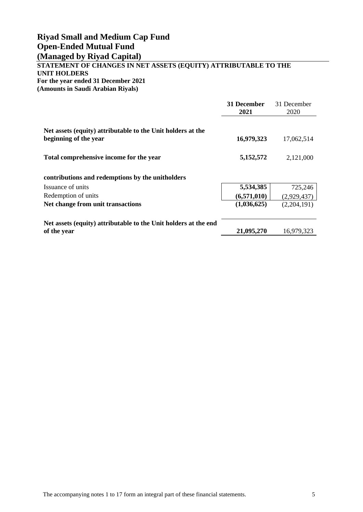## **STATEMENT OF CHANGES IN NET ASSETS (EQUITY) ATTRIBUTABLE TO THE UNIT HOLDERS For the year ended 31 December 2021 (Amounts in Saudi Arabian Riyals)**

|                                                                                      | 31 December<br>2021 | 31 December<br>2020 |
|--------------------------------------------------------------------------------------|---------------------|---------------------|
|                                                                                      |                     |                     |
| Net assets (equity) attributable to the Unit holders at the<br>beginning of the year | 16,979,323          | 17,062,514          |
| Total comprehensive income for the year                                              | 5,152,572           | 2,121,000           |
| contributions and redemptions by the unitholders                                     |                     |                     |
| Issuance of units                                                                    | 5,534,385           | 725,246             |
| Redemption of units                                                                  | (6,571,010)         | (2,929,437)         |
| Net change from unit transactions                                                    | (1,036,625)         | (2,204,191)         |
| Net assets (equity) attributable to the Unit holders at the end                      |                     |                     |
| of the year                                                                          | 21,095,270          | 16,979,323          |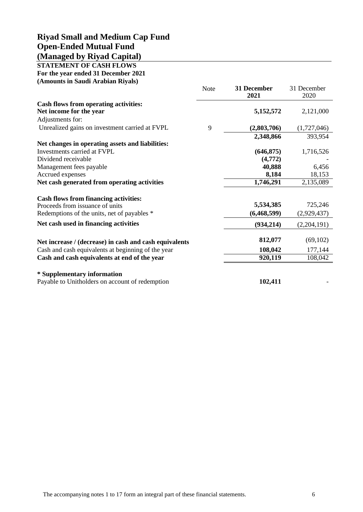<span id="page-8-0"></span>

| <b>STATEMENT OF CASH FLOWS</b>                         |             |                     |                     |
|--------------------------------------------------------|-------------|---------------------|---------------------|
| For the year ended 31 December 2021                    |             |                     |                     |
| (Amounts in Saudi Arabian Riyals)                      |             |                     |                     |
|                                                        | <b>Note</b> | 31 December<br>2021 | 31 December<br>2020 |
| <b>Cash flows from operating activities:</b>           |             |                     |                     |
| Net income for the year                                |             | 5,152,572           | 2,121,000           |
| Adjustments for:                                       |             |                     |                     |
| Unrealized gains on investment carried at FVPL         | 9           | (2,803,706)         | (1,727,046)         |
|                                                        |             | 2,348,866           | 393,954             |
| Net changes in operating assets and liabilities:       |             |                     |                     |
| Investments carried at FVPL                            |             | (646, 875)          | 1,716,526           |
| Dividend receivable                                    |             | (4,772)             |                     |
| Management fees payable                                |             | 40,888              | 6,456               |
| Accrued expenses                                       |             | 8,184               | 18,153              |
| Net cash generated from operating activities           |             | 1,746,291           | 2,135,089           |
| <b>Cash flows from financing activities:</b>           |             |                     |                     |
| Proceeds from issuance of units                        |             | 5,534,385           | 725,246             |
| Redemptions of the units, net of payables *            |             | (6,468,599)         | (2,929,437)         |
| Net cash used in financing activities                  |             | (934,214)           | (2,204,191)         |
| Net increase / (decrease) in cash and cash equivalents |             | 812,077             | (69,102)            |
| Cash and cash equivalents at beginning of the year     |             | 108,042             | 177,144             |
| Cash and cash equivalents at end of the year           |             | 920,119             | 108,042             |
| * Supplementary information                            |             |                     |                     |
| Payable to Unitholders on account of redemption        |             | 102,411             |                     |
|                                                        |             |                     |                     |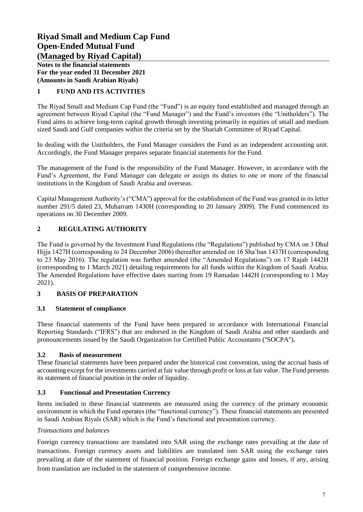**Notes to the financial statements For the year ended 31 December 2021 (Amounts in Saudi Arabian Riyals)**

## <span id="page-9-0"></span>**1 FUND AND ITS ACTIVITIES**

The Riyad Small and Medium Cap Fund (the "Fund") is an equity fund established and managed through an agreement between Riyad Capital (the "Fund Manager") and the Fund's investors (the "Unitholders"). The Fund aims to achieve long-term capital growth through investing primarily in equities of small and medium sized Saudi and Gulf companies within the criteria set by the Shariah Committee of Riyad Capital.

In dealing with the Unitholders, the Fund Manager considers the Fund as an independent accounting unit. Accordingly, the Fund Manager prepares separate financial statements for the Fund.

The management of the Fund is the responsibility of the Fund Manager. However, in accordance with the Fund's Agreement, the Fund Manager can delegate or assign its duties to one or more of the financial institutions in the Kingdom of Saudi Arabia and overseas.

Capital Management Authority's ("CMA") approval for the establishment of the Fund was granted in its letter number 291/5 dated 23, Muharram 1430H (corresponding to 20 January 2009). The Fund commenced its operations on 30 December 2009.

## **2 REGULATING AUTHORITY**

The Fund is governed by the Investment Fund Regulations (the "Regulations") published by CMA on 3 Dhul Hijja 1427H (corresponding to 24 December 2006) thereafter amended on 16 Sha'ban 1437H (corresponding to 23 May 2016). The regulation was further amended (the "Amended Regulations") on 17 Rajab 1442H (corresponding to 1 March 2021) detailing requirements for all funds within the Kingdom of Saudi Arabia. The Amended Regulations have effective dates starting from 19 Ramadan 1442H (corresponding to 1 May 2021).

## **3 BASIS OF PREPARATION**

## **3.1 Statement of compliance**

These financial statements of the Fund have been prepared in accordance with International Financial Reporting Standards ("IFRS") that are endorsed in the Kingdom of Saudi Arabia and other standards and pronouncements issued by the Saudi Organization for Certified Public Accountants (''SOCPA'')**.**

## **3.2 Basis of measurement**

These financial statements have been prepared under the historical cost convention, using the accrual basis of accounting except for the investments carried at fair value through profit or loss at fair value. The Fund presents its statement of financial position in the order of liquidity.

## **3.3 Functional and Presentation Currency**

Items included in these financial statements are measured using the currency of the primary economic environment in which the Fund operates (the "functional currency"). These financial statements are presented in Saudi Arabian Riyals (SAR) which is the Fund's functional and presentation currency.

#### *Transactions and balances*

Foreign currency transactions are translated into SAR using the exchange rates prevailing at the date of transactions. Foreign currency assets and liabilities are translated into SAR using the exchange rates prevailing at date of the statement of financial position. Foreign exchange gains and losses, if any, arising from translation are included in the statement of comprehensive income.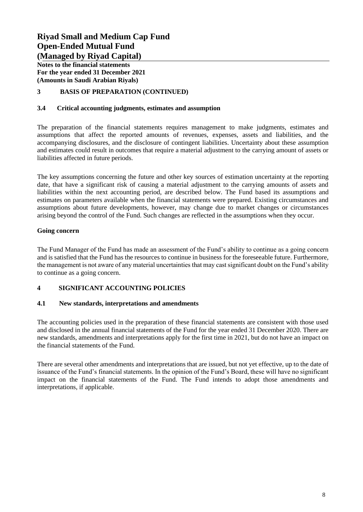**Notes to the financial statements For the year ended 31 December 2021 (Amounts in Saudi Arabian Riyals)**

## **3 BASIS OF PREPARATION (CONTINUED)**

#### **3.4 Critical accounting judgments, estimates and assumption**

The preparation of the financial statements requires management to make judgments, estimates and assumptions that affect the reported amounts of revenues, expenses, assets and liabilities, and the accompanying disclosures, and the disclosure of contingent liabilities. Uncertainty about these assumption and estimates could result in outcomes that require a material adjustment to the carrying amount of assets or liabilities affected in future periods.

The key assumptions concerning the future and other key sources of estimation uncertainty at the reporting date, that have a significant risk of causing a material adjustment to the carrying amounts of assets and liabilities within the next accounting period, are described below. The Fund based its assumptions and estimates on parameters available when the financial statements were prepared. Existing circumstances and assumptions about future developments, however, may change due to market changes or circumstances arising beyond the control of the Fund. Such changes are reflected in the assumptions when they occur.

#### **Going concern**

The Fund Manager of the Fund has made an assessment of the Fund's ability to continue as a going concern and is satisfied that the Fund has the resources to continue in business for the foreseeable future. Furthermore, the management is not aware of any material uncertainties that may cast significant doubt on the Fund's ability to continue as a going concern.

#### **4 SIGNIFICANT ACCOUNTING POLICIES**

#### **4.1 New standards, interpretations and amendments**

The accounting policies used in the preparation of these financial statements are consistent with those used and disclosed in the annual financial statements of the Fund for the year ended 31 December 2020. There are new standards, amendments and interpretations apply for the first time in 2021, but do not have an impact on the financial statements of the Fund.

There are several other amendments and interpretations that are issued, but not yet effective, up to the date of issuance of the Fund's financial statements. In the opinion of the Fund's Board, these will have no significant impact on the financial statements of the Fund. The Fund intends to adopt those amendments and interpretations, if applicable.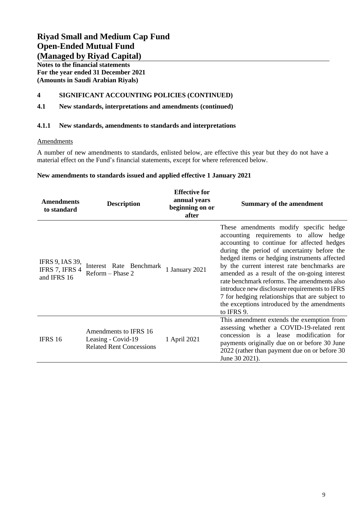**Notes to the financial statements For the year ended 31 December 2021 (Amounts in Saudi Arabian Riyals)**

## **4 SIGNIFICANT ACCOUNTING POLICIES (CONTINUED)**

## **4.1 New standards, interpretations and amendments (continued)**

#### **4.1.1 New standards, amendments to standards and interpretations**

#### **Amendments**

A number of new amendments to standards, enlisted below, are effective this year but they do not have a material effect on the Fund's financial statements, except for where referenced below.

### **New amendments to standards issued and applied effective 1 January 2021**

| <b>Amendments</b><br>to standard                        | <b>Description</b>                                                             | <b>Effective for</b><br>annual years<br>beginning on or<br>after | <b>Summary of the amendment</b>                                                                                                                                                                                                                                                                                                                                                                                                                                                                                                              |
|---------------------------------------------------------|--------------------------------------------------------------------------------|------------------------------------------------------------------|----------------------------------------------------------------------------------------------------------------------------------------------------------------------------------------------------------------------------------------------------------------------------------------------------------------------------------------------------------------------------------------------------------------------------------------------------------------------------------------------------------------------------------------------|
| <b>IFRS 9, IAS 39,</b><br>IFRS 7, IFRS 4<br>and IFRS 16 | Interest Rate Benchmark<br>Reform - Phase 2                                    | 1 January 2021                                                   | These amendments modify specific hedge<br>accounting requirements to allow hedge<br>accounting to continue for affected hedges<br>during the period of uncertainty before the<br>hedged items or hedging instruments affected<br>by the current interest rate benchmarks are<br>amended as a result of the on-going interest<br>rate benchmark reforms. The amendments also<br>introduce new disclosure requirements to IFRS<br>7 for hedging relationships that are subject to<br>the exceptions introduced by the amendments<br>to IFRS 9. |
| IFRS 16                                                 | Amendments to IFRS 16<br>Leasing - Covid-19<br><b>Related Rent Concessions</b> | 1 April 2021                                                     | This amendment extends the exemption from<br>assessing whether a COVID-19-related rent<br>concession is a lease modification for<br>payments originally due on or before 30 June<br>2022 (rather than payment due on or before 30<br>June 30 2021).                                                                                                                                                                                                                                                                                          |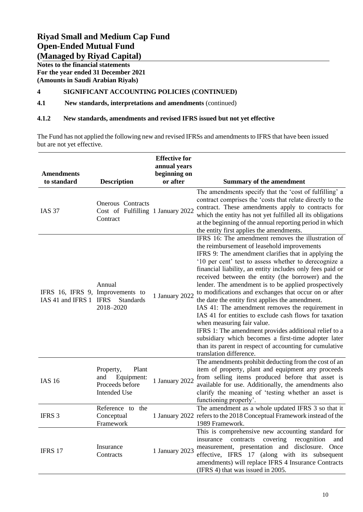**Notes to the financial statements For the year ended 31 December 2021 (Amounts in Saudi Arabian Riyals)**

## **4 SIGNIFICANT ACCOUNTING POLICIES (CONTINUED)**

**4.1 New standards, interpretations and amendments** (continued)

### **4.1.2 New standards, amendments and revised IFRS issued but not yet effective**

The Fund has not applied the following new and revised IFRSs and amendments to IFRS that have been issued but are not yet effective.

| <b>Amendments</b><br>to standard                           | <b>Description</b>                                                                | <b>Effective for</b><br>annual years<br>beginning on<br>or after | <b>Summary of the amendment</b>                                                                                                                                                                                                                                                                                                                                                                                                                                                                                                                                                                                                                                                                                                                                                                                                                              |
|------------------------------------------------------------|-----------------------------------------------------------------------------------|------------------------------------------------------------------|--------------------------------------------------------------------------------------------------------------------------------------------------------------------------------------------------------------------------------------------------------------------------------------------------------------------------------------------------------------------------------------------------------------------------------------------------------------------------------------------------------------------------------------------------------------------------------------------------------------------------------------------------------------------------------------------------------------------------------------------------------------------------------------------------------------------------------------------------------------|
| <b>IAS 37</b>                                              | Onerous Contracts<br>Cost of Fulfilling 1 January 2022<br>Contract                |                                                                  | The amendments specify that the 'cost of fulfilling' a<br>contract comprises the 'costs that relate directly to the<br>contract. These amendments apply to contracts for<br>which the entity has not yet fulfilled all its obligations<br>at the beginning of the annual reporting period in which<br>the entity first applies the amendments.                                                                                                                                                                                                                                                                                                                                                                                                                                                                                                               |
| IFRS 16, IFRS 9, Improvements to<br>IAS 41 and IFRS 1 IFRS | Annual<br><b>Standards</b><br>2018-2020                                           | 1 January 2022                                                   | IFRS 16: The amendment removes the illustration of<br>the reimbursement of leasehold improvements<br>IFRS 9: The amendment clarifies that in applying the<br>'10 per cent' test to assess whether to derecognize a<br>financial liability, an entity includes only fees paid or<br>received between the entity (the borrower) and the<br>lender. The amendment is to be applied prospectively<br>to modifications and exchanges that occur on or after<br>the date the entity first applies the amendment.<br>IAS 41: The amendment removes the requirement in<br>IAS 41 for entities to exclude cash flows for taxation<br>when measuring fair value.<br>IFRS 1: The amendment provides additional relief to a<br>subsidiary which becomes a first-time adopter later<br>than its parent in respect of accounting for cumulative<br>translation difference. |
| <b>IAS 16</b>                                              | Plant<br>Property,<br>and<br>Equipment:<br>Proceeds before<br><b>Intended Use</b> | 1 January 2022                                                   | The amendments prohibit deducting from the cost of an<br>item of property, plant and equipment any proceeds<br>from selling items produced before that asset is<br>available for use. Additionally, the amendments also<br>clarify the meaning of 'testing whether an asset is<br>functioning properly'.                                                                                                                                                                                                                                                                                                                                                                                                                                                                                                                                                     |
| IFRS 3                                                     | Reference to the<br>Conceptual<br>Framework                                       |                                                                  | The amendment as a whole updated IFRS 3 so that it<br>1 January 2022 refers to the 2018 Conceptual Framework instead of the<br>1989 Framework.                                                                                                                                                                                                                                                                                                                                                                                                                                                                                                                                                                                                                                                                                                               |
| IFRS 17                                                    | Insurance<br>Contracts                                                            | 1 January 2023                                                   | This is comprehensive new accounting standard for<br>covering recognition<br>insurance<br>contracts<br>and<br>measurement, presentation and disclosure. Once<br>effective, IFRS 17 (along with its subsequent<br>amendments) will replace IFRS 4 Insurance Contracts<br>(IFRS 4) that was issued in 2005.                                                                                                                                                                                                                                                                                                                                                                                                                                                                                                                                                    |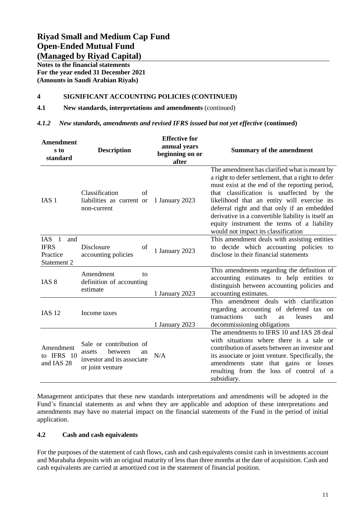**Notes to the financial statements For the year ended 31 December 2021 (Amounts in Saudi Arabian Riyals)**

### **4 SIGNIFICANT ACCOUNTING POLICIES (CONTINUED)**

#### **4.1 New standards, interpretations and amendments** (continued)

#### *4.1.2 New standards, amendments and revised IFRS issued but not yet effective* **(continued)**

| <b>Amendment</b><br>s to<br>standard                     | <b>Description</b>                                                                                   | <b>Effective for</b><br>annual years<br>beginning on or<br>after | <b>Summary of the amendment</b>                                                                                                                                                                                                                                                                                                                                                                                                           |
|----------------------------------------------------------|------------------------------------------------------------------------------------------------------|------------------------------------------------------------------|-------------------------------------------------------------------------------------------------------------------------------------------------------------------------------------------------------------------------------------------------------------------------------------------------------------------------------------------------------------------------------------------------------------------------------------------|
| IAS <sub>1</sub>                                         | Classification<br>of<br>liabilities as current or<br>non-current                                     | 1 January 2023                                                   | The amendment has clarified what is meant by<br>a right to defer settlement, that a right to defer<br>must exist at the end of the reporting period,<br>that classification is unaffected by the<br>likelihood that an entity will exercise its<br>deferral right and that only if an embedded<br>derivative in a convertible liability is itself an<br>equity instrument the terms of a liability<br>would not impact its classification |
| $IAS$ 1<br>and<br><b>IFRS</b><br>Practice<br>Statement 2 | Disclosure<br>of<br>accounting policies                                                              | 1 January 2023                                                   | This amendment deals with assisting entities<br>to decide which accounting policies to<br>disclose in their financial statements                                                                                                                                                                                                                                                                                                          |
| IAS <sub>8</sub>                                         | Amendment<br>tΩ<br>definition of accounting<br>estimate                                              | 1 January 2023                                                   | This amendments regarding the definition of<br>accounting estimates to help entities to<br>distinguish between accounting policies and<br>accounting estimates.                                                                                                                                                                                                                                                                           |
| <b>IAS 12</b>                                            | Income taxes                                                                                         | 1 January 2023                                                   | This amendment deals with clarification<br>regarding accounting of deferred tax on<br>transactions<br>such<br>leases<br><b>as</b><br>and<br>decommissioning obligations                                                                                                                                                                                                                                                                   |
| Amendment<br>to IFRS 10<br>and IAS 28                    | Sale or contribution of<br>between<br>assets<br>an<br>investor and its associate<br>or joint venture | N/A                                                              | The amendments to IFRS 10 and IAS 28 deal<br>with situations where there is a sale or<br>contribution of assets between an investor and<br>its associate or joint venture. Specifically, the<br>amendments state that gains or losses<br>resulting from the loss of control of a<br>subsidiary.                                                                                                                                           |

Management anticipates that these new standards interpretations and amendments will be adopted in the Fund's financial statements as and when they are applicable and adoption of these interpretations and amendments may have no material impact on the financial statements of the Fund in the period of initial application.

#### **4.2 Cash and cash equivalents**

For the purposes of the statement of cash flows, cash and cash equivalents consist cash in investments account and Murabaha deposits with an original maturity of less than three months at the date of acquisition. Cash and cash equivalents are carried at amortized cost in the statement of financial position.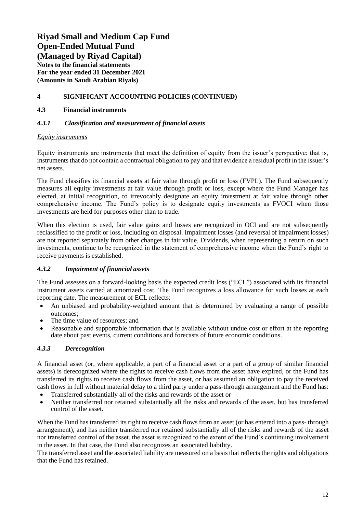**Notes to the financial statements For the year ended 31 December 2021 (Amounts in Saudi Arabian Riyals)**

## **4 SIGNIFICANT ACCOUNTING POLICIES (CONTINUED)**

## **4.3 Financial instruments**

## *4.3.1 Classification and measurement of financial assets*

### *Equity instruments*

Equity instruments are instruments that meet the definition of equity from the issuer's perspective; that is, instruments that do not contain a contractual obligation to pay and that evidence a residual profit in the issuer's net assets.

The Fund classifies its financial assets at fair value through profit or loss (FVPL). The Fund subsequently measures all equity investments at fair value through profit or loss, except where the Fund Manager has elected, at initial recognition, to irrevocably designate an equity investment at fair value through other comprehensive income. The Fund's policy is to designate equity investments as FVOCI when those investments are held for purposes other than to trade.

When this election is used, fair value gains and losses are recognized in OCI and are not subsequently reclassified to the profit or loss, including on disposal. Impairment losses (and reversal of impairment losses) are not reported separately from other changes in fair value. Dividends, when representing a return on such investments, continue to be recognized in the statement of comprehensive income when the Fund's right to receive payments is established.

## *4.3.2 Impairment of financial assets*

The Fund assesses on a forward-looking basis the expected credit loss ("ECL") associated with its financial instrument assets carried at amortized cost. The Fund recognizes a loss allowance for such losses at each reporting date. The measurement of ECL reflects:

- An unbiased and probability-weighted amount that is determined by evaluating a range of possible outcomes;
- The time value of resources; and
- Reasonable and supportable information that is available without undue cost or effort at the reporting date about past events, current conditions and forecasts of future economic conditions.

## *4.3.3 Derecognition*

A financial asset (or, where applicable, a part of a financial asset or a part of a group of similar financial assets) is derecognized where the rights to receive cash flows from the asset have expired, or the Fund has transferred its rights to receive cash flows from the asset, or has assumed an obligation to pay the received cash flows in full without material delay to a third party under a pass-through arrangement and the Fund has:

- Transferred substantially all of the risks and rewards of the asset or
- Neither transferred nor retained substantially all the risks and rewards of the asset, but has transferred control of the asset.

When the Fund has transferred its right to receive cash flows from an asset (or has entered into a pass- through arrangement), and has neither transferred nor retained substantially all of the risks and rewards of the asset nor transferred control of the asset, the asset is recognized to the extent of the Fund's continuing involvement in the asset. In that case, the Fund also recognizes an associated liability.

The transferred asset and the associated liability are measured on a basis that reflects the rights and obligations that the Fund has retained.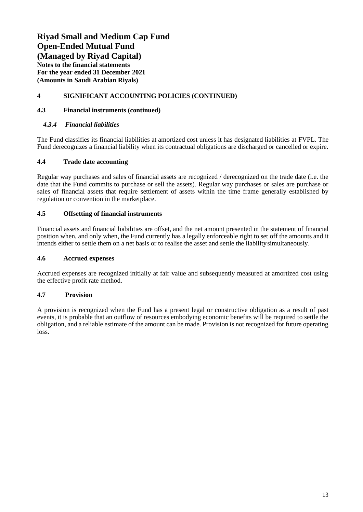**Notes to the financial statements For the year ended 31 December 2021 (Amounts in Saudi Arabian Riyals)**

## **4 SIGNIFICANT ACCOUNTING POLICIES (CONTINUED)**

### **4.3 Financial instruments (continued)**

### *4.3.4 Financial liabilities*

The Fund classifies its financial liabilities at amortized cost unless it has designated liabilities at FVPL. The Fund derecognizes a financial liability when its contractual obligations are discharged or cancelled or expire.

### **4.4 Trade date accounting**

Regular way purchases and sales of financial assets are recognized / derecognized on the trade date (i.e. the date that the Fund commits to purchase or sell the assets). Regular way purchases or sales are purchase or sales of financial assets that require settlement of assets within the time frame generally established by regulation or convention in the marketplace.

### **4.5 Offsetting of financial instruments**

Financial assets and financial liabilities are offset, and the net amount presented in the statement of financial position when, and only when, the Fund currently has a legally enforceable right to set off the amounts and it intends either to settle them on a net basis or to realise the asset and settle the liabilitysimultaneously.

#### **4.6 Accrued expenses**

Accrued expenses are recognized initially at fair value and subsequently measured at amortized cost using the effective profit rate method.

## **4.7 Provision**

A provision is recognized when the Fund has a present legal or constructive obligation as a result of past events, it is probable that an outflow of resources embodying economic benefits will be required to settle the obligation, and a reliable estimate of the amount can be made. Provision is not recognized for future operating loss.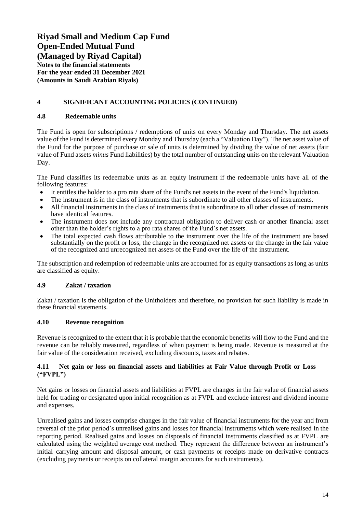**Notes to the financial statements For the year ended 31 December 2021 (Amounts in Saudi Arabian Riyals)**

## **4 SIGNIFICANT ACCOUNTING POLICIES (CONTINUED)**

### **4.8 Redeemable units**

The Fund is open for subscriptions / redemptions of units on every Monday and Thursday. The net assets value of the Fund is determined every Monday and Thursday (each a "Valuation Day"). The net asset value of the Fund for the purpose of purchase or sale of units is determined by dividing the value of net assets (fair value of Fund assets *minus* Fund liabilities) by the total number of outstanding units on the relevant Valuation Day.

The Fund classifies its redeemable units as an equity instrument if the redeemable units have all of the following features:

- It entitles the holder to a pro rata share of the Fund's net assets in the event of the Fund's liquidation.
- The instrument is in the class of instruments that is subordinate to all other classes of instruments.
- All financial instruments in the class of instruments that is subordinate to all other classes of instruments have identical features.
- The instrument does not include any contractual obligation to deliver cash or another financial asset other than the holder's rights to a pro rata shares of the Fund's net assets.
- The total expected cash flows attributable to the instrument over the life of the instrument are based substantially on the profit or loss, the change in the recognized net assets or the change in the fair value of the recognized and unrecognized net assets of the Fund over the life of the instrument.

The subscription and redemption of redeemable units are accounted for as equity transactions as long as units are classified as equity.

## **4.9 Zakat / taxation**

Zakat / taxation is the obligation of the Unitholders and therefore, no provision for such liability is made in these financial statements.

## **4.10 Revenue recognition**

Revenue is recognized to the extent that it is probable that the economic benefits will flow to the Fund and the revenue can be reliably measured, regardless of when payment is being made. Revenue is measured at the fair value of the consideration received, excluding discounts, taxes and rebates.

### **4.11 Net gain or loss on financial assets and liabilities at Fair Value through Profit or Loss ("FVPL")**

Net gains or losses on financial assets and liabilities at FVPL are changes in the fair value of financial assets held for trading or designated upon initial recognition as at FVPL and exclude interest and dividend income and expenses.

Unrealised gains and losses comprise changes in the fair value of financial instruments for the year and from reversal of the prior period's unrealised gains and losses for financial instruments which were realised in the reporting period. Realised gains and losses on disposals of financial instruments classified as at FVPL are calculated using the weighted average cost method. They represent the difference between an instrument's initial carrying amount and disposal amount, or cash payments or receipts made on derivative contracts (excluding payments or receipts on collateral margin accounts for such instruments).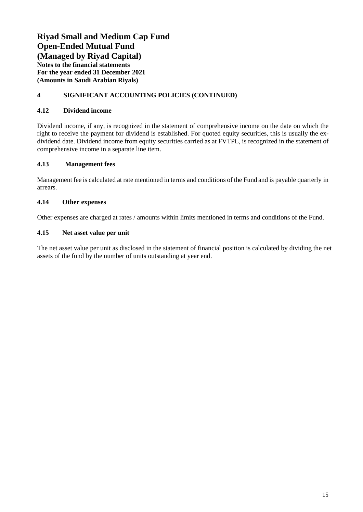**Notes to the financial statements For the year ended 31 December 2021 (Amounts in Saudi Arabian Riyals)**

## **4 SIGNIFICANT ACCOUNTING POLICIES (CONTINUED)**

## **4.12 Dividend income**

Dividend income, if any, is recognized in the statement of comprehensive income on the date on which the right to receive the payment for dividend is established. For quoted equity securities, this is usually the exdividend date. Dividend income from equity securities carried as at FVTPL, is recognized in the statement of comprehensive income in a separate line item.

## **4.13 Management fees**

Management fee is calculated at rate mentioned in terms and conditions of the Fund and is payable quarterly in arrears.

## **4.14 Other expenses**

Other expenses are charged at rates / amounts within limits mentioned in terms and conditions of the Fund.

### **4.15 Net asset value per unit**

The net asset value per unit as disclosed in the statement of financial position is calculated by dividing the net assets of the fund by the number of units outstanding at year end.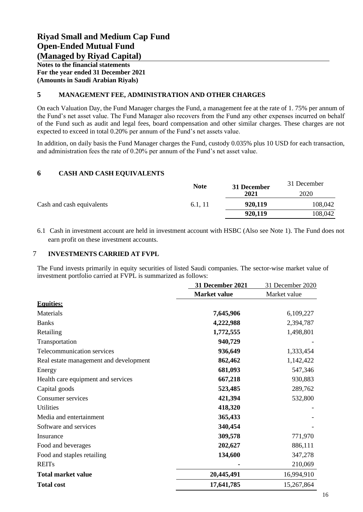**Notes to the financial statements For the year ended 31 December 2021 (Amounts in Saudi Arabian Riyals)**

### **5 MANAGEMENT FEE, ADMINISTRATION AND OTHER CHARGES**

On each Valuation Day, the Fund Manager charges the Fund, a management fee at the rate of 1. 75% per annum of the Fund's net asset value. The Fund Manager also recovers from the Fund any other expenses incurred on behalf of the Fund such as audit and legal fees, board compensation and other similar charges. These charges are not expected to exceed in total 0.20% per annum of the Fund's net assets value.

In addition, on daily basis the Fund Manager charges the Fund, custody 0.035% plus 10 USD for each transaction, and administration fees the rate of 0.20% per annum of the Fund's net asset value.

### **6 CASH AND CASH EQUIVALENTS**

|                           |         | <b>Note</b><br>31 December |         |
|---------------------------|---------|----------------------------|---------|
|                           |         | 2021                       | 2020    |
| Cash and cash equivalents | 6.1, 11 | 920,119                    | 108,042 |
|                           |         | 920,119                    | 108,042 |

6.1 Cash in investment account are held in investment account with HSBC (Also see Note 1). The Fund does not earn profit on these investment accounts.

#### 7 **INVESTMENTS CARRIED AT FVPL**

The Fund invests primarily in equity securities of listed Saudi companies. The sector-wise market value of investment portfolio carried at FVPL is summarized as follows:

|                                        | 31 December 2021    | 31 December 2020 |
|----------------------------------------|---------------------|------------------|
|                                        | <b>Market value</b> | Market value     |
| <b>Equities:</b>                       |                     |                  |
| Materials                              | 7,645,906           | 6,109,227        |
| <b>Banks</b>                           | 4,222,988           | 2,394,787        |
| Retailing                              | 1,772,555           | 1,498,801        |
| Transportation                         | 940,729             |                  |
| Telecommunication services             | 936,649             | 1,333,454        |
| Real estate management and development | 862,462             | 1,142,422        |
| Energy                                 | 681,093             | 547,346          |
| Health care equipment and services     | 667,218             | 930,883          |
| Capital goods                          | 523,485             | 289,762          |
| <b>Consumer services</b>               | 421,394             | 532,800          |
| <b>Utilities</b>                       | 418,320             |                  |
| Media and entertainment                | 365,433             |                  |
| Software and services                  | 340,454             |                  |
| Insurance                              | 309,578             | 771,970          |
| Food and beverages                     | 202,627             | 886,111          |
| Food and staples retailing             | 134,600             | 347,278          |
| <b>REITs</b>                           |                     | 210,069          |
| <b>Total market value</b>              | 20,445,491          | 16,994,910       |
| <b>Total cost</b>                      | 17,641,785          | 15,267,864       |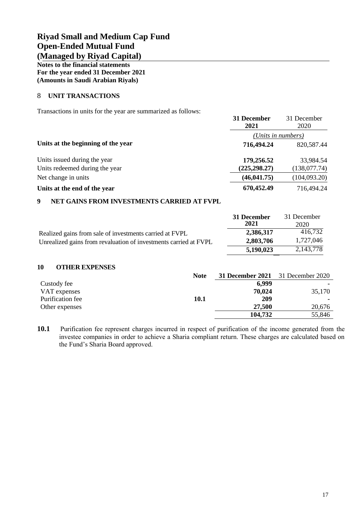**Notes to the financial statements For the year ended 31 December 2021 (Amounts in Saudi Arabian Riyals)**

### 8 **UNIT TRANSACTIONS**

Transactions in units for the year are summarized as follows:

|                                    | 31 December<br>2021 | 31 December<br>2020 |
|------------------------------------|---------------------|---------------------|
|                                    | (Units in numbers)  |                     |
| Units at the beginning of the year | 716,494.24          | 820,587.44          |
| Units issued during the year       | 179,256.52          | 33,984.54           |
| Units redeemed during the year     | (225, 298.27)       | (138,077.74)        |
| Net change in units                | (46, 041.75)        | (104,093.20)        |
| Units at the end of the year       | 670,452.49          | 716,494.24          |

#### **9 NET GAINS FROM INVESTMENTS CARRIED AT FVPL**

|                                                                  | 31 December<br>2021 | 31 December<br>2020 |
|------------------------------------------------------------------|---------------------|---------------------|
| Realized gains from sale of investments carried at FVPL          | 2,386,317           | 416,732             |
| Unrealized gains from revaluation of investments carried at FVPL | 2,803,706           | 1,727,046           |
|                                                                  | 5,190,023           | 2,143,778           |

#### **10 OTHER EXPENSES**

|                  | <b>Note</b> | <b>31 December 2021</b> 31 December 2020 |        |
|------------------|-------------|------------------------------------------|--------|
| Custody fee      |             | 6,999                                    |        |
| VAT expenses     |             | 70,024                                   | 35,170 |
| Purification fee | <b>10.1</b> | 209                                      |        |
| Other expenses   |             | 27,500                                   | 20,676 |
|                  |             | 104,732                                  | 55,846 |

**10.1** Purification fee represent charges incurred in respect of purification of the income generated from the investee companies in order to achieve a Sharia compliant return. These charges are calculated based on the Fund's Sharia Board approved.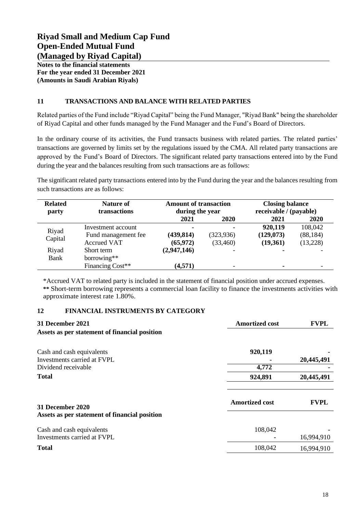**Notes to the financial statements For the year ended 31 December 2021 (Amounts in Saudi Arabian Riyals)**

## **11 TRANSACTIONS AND BALANCE WITH RELATED PARTIES**

Related parties of the Fund include "Riyad Capital" being the Fund Manager, "Riyad Bank" being the shareholder of Riyad Capital and other funds managed by the Fund Manager and the Fund's Board of Directors.

In the ordinary course of its activities, the Fund transacts business with related parties. The related parties' transactions are governed by limits set by the regulations issued by the CMA. All related party transactions are approved by the Fund's Board of Directors. The significant related party transactions entered into by the Fund during the year and the balances resulting from such transactions are as follows:

The significant related party transactions entered into by the Fund during the year and the balances resulting from such transactions are as follows:

| <b>Related</b><br>party | <b>Nature of</b><br>transactions | <b>Amount of transaction</b><br>during the year |            | <b>Closing balance</b><br>receivable / (payable) |             |
|-------------------------|----------------------------------|-------------------------------------------------|------------|--------------------------------------------------|-------------|
|                         |                                  | 2021                                            | 2020       | 2021                                             | <b>2020</b> |
|                         | Investment account               | ۰                                               |            | 920,119                                          | 108,042     |
| Riyad                   | Fund management fee              | (439, 814)                                      | (323, 936) | (129, 073)                                       | (88, 184)   |
| Capital                 | <b>Accrued VAT</b>               | (65, 972)                                       | (33, 460)  | (19,361)                                         | (13,228)    |
| Riyad                   | Short term                       | (2,947,146)                                     |            |                                                  |             |
| Bank                    | borrowing**                      |                                                 |            |                                                  |             |
|                         | Financing Cost**                 | (4,571)                                         |            | ۰                                                |             |

\*Accrued VAT to related party is included in the statement of financial position under accrued expenses. **\*\*** Short-term borrowing represents a commercial loan facility to finance the investments activities with approximate interest rate 1.80%.

## **12 FINANCIAL INSTRUMENTS BY CATEGORY**

| 31 December 2021<br>Assets as per statement of financial position | <b>Amortized cost</b> | <b>FVPL</b> |
|-------------------------------------------------------------------|-----------------------|-------------|
| Cash and cash equivalents                                         | 920,119               |             |
| Investments carried at FVPL                                       |                       | 20,445,491  |
| Dividend receivable                                               | 4,772                 |             |
| <b>Total</b>                                                      | 924,891               | 20,445,491  |
| 31 December 2020                                                  | <b>Amortized cost</b> | <b>FVPL</b> |
| Assets as per statement of financial position                     |                       |             |
| Cash and cash equivalents<br>Investments carried at FVPL          | 108,042               |             |
|                                                                   |                       | 16,994,910  |
| <b>Total</b>                                                      | 108,042               | 16,994,910  |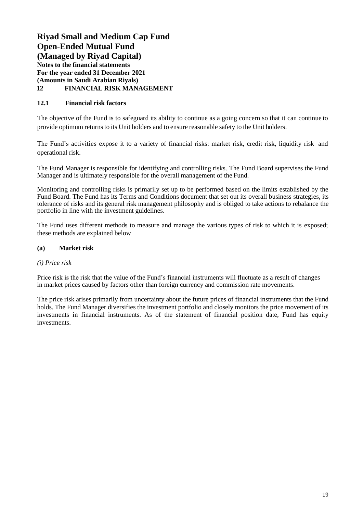**Notes to the financial statements For the year ended 31 December 2021 (Amounts in Saudi Arabian Riyals) 12 FINANCIAL RISK MANAGEMENT**

## **12.1 Financial risk factors**

The objective of the Fund is to safeguard its ability to continue as a going concern so that it can continue to provide optimum returnsto its Unit holders and to ensure reasonable safety to the Unit holders.

The Fund's activities expose it to a variety of financial risks: market risk, credit risk, liquidity risk and operational risk.

The Fund Manager is responsible for identifying and controlling risks. The Fund Board supervises the Fund Manager and is ultimately responsible for the overall management of the Fund.

Monitoring and controlling risks is primarily set up to be performed based on the limits established by the Fund Board. The Fund has its Terms and Conditions document that set out its overall business strategies, its tolerance of risks and its general risk management philosophy and is obliged to take actions to rebalance the portfolio in line with the investment guidelines.

The Fund uses different methods to measure and manage the various types of risk to which it is exposed; these methods are explained below

## **(a) Market risk**

#### *(i) Price risk*

Price risk is the risk that the value of the Fund's financial instruments will fluctuate as a result of changes in market prices caused by factors other than foreign currency and commission rate movements.

The price risk arises primarily from uncertainty about the future prices of financial instruments that the Fund holds. The Fund Manager diversifies the investment portfolio and closely monitors the price movement of its investments in financial instruments. As of the statement of financial position date, Fund has equity investments.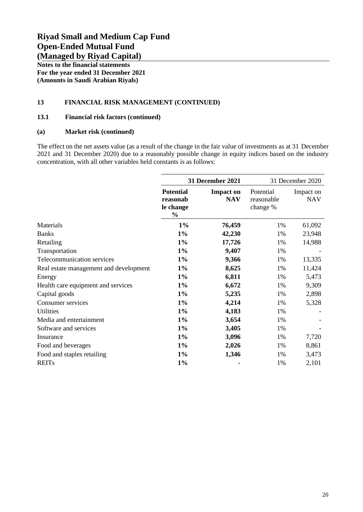**Notes to the financial statements For the year ended 31 December 2021 (Amounts in Saudi Arabian Riyals)**

### **13 FINANCIAL RISK MANAGEMENT (CONTINUED)**

#### **13.1 Financial risk factors (continued)**

#### **(a) Market risk (continued)**

The effect on the net assets value (as a result of the change in the fair value of investments as at 31 December 2021 and 31 December 2020) due to a reasonably possible change in equity indices based on the industry concentration, with all other variables held constants is as follows:

|                                        | <b>31 December 2021</b>                                    |                                | 31 December 2020                    |                         |
|----------------------------------------|------------------------------------------------------------|--------------------------------|-------------------------------------|-------------------------|
|                                        | <b>Potential</b><br>reasonab<br>le change<br>$\frac{0}{0}$ | <b>Impact on</b><br><b>NAV</b> | Potential<br>reasonable<br>change % | Impact on<br><b>NAV</b> |
| Materials                              | $1\%$                                                      | 76,459                         | 1%                                  | 61,092                  |
| <b>Banks</b>                           | $1\%$                                                      | 42,230                         | 1%                                  | 23,948                  |
| Retailing                              | $1\%$                                                      | 17,726                         | 1%                                  | 14,988                  |
| Transportation                         | $1\%$                                                      | 9,407                          | 1%                                  |                         |
| Telecommunication services             | $1\%$                                                      | 9,366                          | 1%                                  | 13,335                  |
| Real estate management and development | $1\%$                                                      | 8,625                          | 1%                                  | 11,424                  |
| Energy                                 | $1\%$                                                      | 6,811                          | 1%                                  | 5,473                   |
| Health care equipment and services     | $1\%$                                                      | 6,672                          | 1%                                  | 9,309                   |
| Capital goods                          | $1\%$                                                      | 5,235                          | 1%                                  | 2,898                   |
| Consumer services                      | $1\%$                                                      | 4,214                          | 1%                                  | 5,328                   |
| <b>Utilities</b>                       | $1\%$                                                      | 4,183                          | 1%                                  |                         |
| Media and entertainment                | $1\%$                                                      | 3,654                          | 1%                                  |                         |
| Software and services                  | $1\%$                                                      | 3,405                          | 1%                                  |                         |
| Insurance                              | $1\%$                                                      | 3,096                          | 1%                                  | 7,720                   |
| Food and beverages                     | $1\%$                                                      | 2,026                          | 1%                                  | 8,861                   |
| Food and staples retailing             | $1\%$                                                      | 1,346                          | 1%                                  | 3,473                   |
| <b>REITs</b>                           | $1\%$                                                      |                                | 1%                                  | 2,101                   |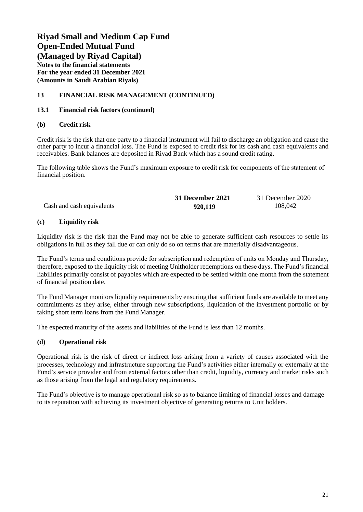**Notes to the financial statements For the year ended 31 December 2021 (Amounts in Saudi Arabian Riyals)**

## **13 FINANCIAL RISK MANAGEMENT (CONTINUED)**

#### **13.1 Financial risk factors (continued)**

#### **(b) Credit risk**

Credit risk is the risk that one party to a financial instrument will fail to discharge an obligation and cause the other party to incur a financial loss. The Fund is exposed to credit risk for its cash and cash equivalents and receivables. Bank balances are deposited in Riyad Bank which has a sound credit rating.

The following table shows the Fund's maximum exposure to credit risk for components of the statement of financial position.

|                           | 31 December 2021 | 31 December 2020 |
|---------------------------|------------------|------------------|
| Cash and cash equivalents | 920,119          | 108,042          |

### **(c) Liquidity risk**

Liquidity risk is the risk that the Fund may not be able to generate sufficient cash resources to settle its obligations in full as they fall due or can only do so on terms that are materially disadvantageous.

The Fund's terms and conditions provide for subscription and redemption of units on Monday and Thursday, therefore, exposed to the liquidity risk of meeting Unitholder redemptions on these days. The Fund's financial liabilities primarily consist of payables which are expected to be settled within one month from the statement of financial position date.

The Fund Manager monitors liquidity requirements by ensuring that sufficient funds are available to meet any commitments as they arise, either through new subscriptions, liquidation of the investment portfolio or by taking short term loans from the Fund Manager.

The expected maturity of the assets and liabilities of the Fund is less than 12 months.

## **(d) Operational risk**

Operational risk is the risk of direct or indirect loss arising from a variety of causes associated with the processes, technology and infrastructure supporting the Fund's activities either internally or externally at the Fund's service provider and from external factors other than credit, liquidity, currency and market risks such as those arising from the legal and regulatory requirements.

The Fund's objective is to manage operational risk so as to balance limiting of financial losses and damage to its reputation with achieving its investment objective of generating returns to Unit holders.